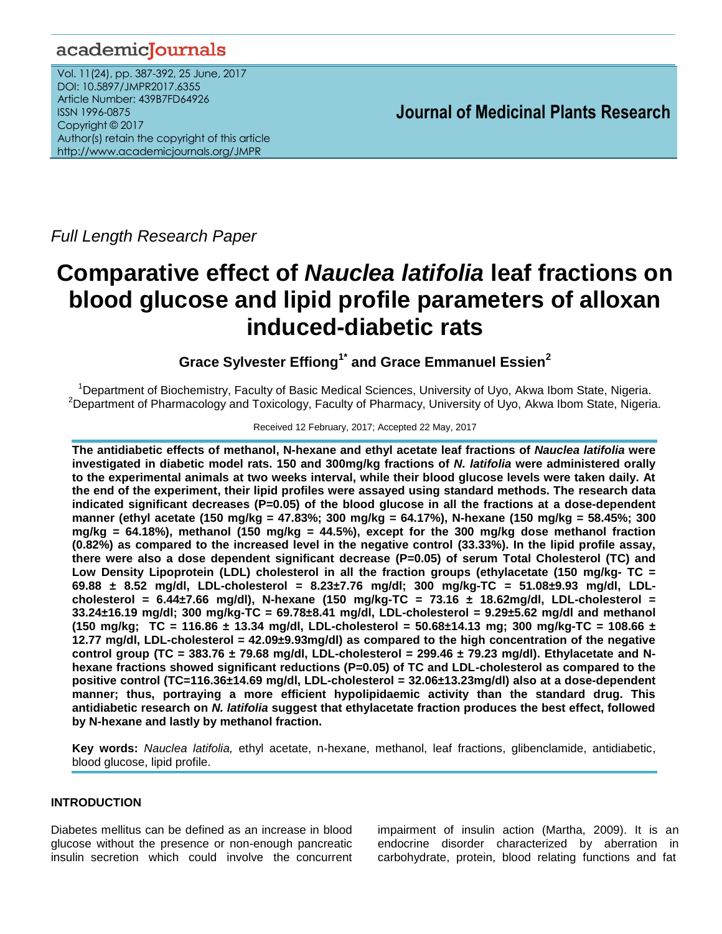# academicJournals

Vol. 11(24), pp. 387-392, 25 June, 2017 DOI: 10.5897/JMPR2017.6355 Article Number: 439B7FD64926 ISSN 1996-0875 Copyright © 2017 Author(s) retain the copyright of this article http://www.academicjournals.org/JMPR

 **Journal of Medicinal Plants Research**

*Full Length Research Paper*

# **Comparative effect of** *Nauclea latifolia* **leaf fractions on blood glucose and lipid profile parameters of alloxan induced-diabetic rats**

**Grace Sylvester Effiong1\* and Grace Emmanuel Essien<sup>2</sup>**

<sup>1</sup>Department of Biochemistry, Faculty of Basic Medical Sciences, University of Uyo, Akwa Ibom State, Nigeria. <sup>2</sup>Department of Pharmacology and Toxicology, Faculty of Pharmacy, University of Uyo, Akwa Ibom State, Nigeria.

# Received 12 February, 2017; Accepted 22 May, 2017

**The antidiabetic effects of methanol, N-hexane and ethyl acetate leaf fractions of** *Nauclea latifolia* **were investigated in diabetic model rats. 150 and 300mg/kg fractions of** *N. latifolia* **were administered orally to the experimental animals at two weeks interval, while their blood glucose levels were taken daily. At the end of the experiment, their lipid profiles were assayed using standard methods. The research data indicated significant decreases (P=0.05) of the blood glucose in all the fractions at a dose-dependent manner (ethyl acetate (150 mg/kg = 47.83%; 300 mg/kg = 64.17%), N-hexane (150 mg/kg = 58.45%; 300 mg/kg = 64.18%), methanol (150 mg/kg = 44.5%), except for the 300 mg/kg dose methanol fraction (0.82%) as compared to the increased level in the negative control (33.33%). In the lipid profile assay, there were also a dose dependent significant decrease (P=0.05) of serum Total Cholesterol (TC) and Low Density Lipoprotein (LDL) cholesterol in all the fraction groups (ethylacetate (150 mg/kg- TC = 69.88 ± 8.52 mg/dl, LDL-cholesterol = 8.23±7.76 mg/dl; 300 mg/kg-TC = 51.08±9.93 mg/dl, LDLcholesterol = 6.44±7.66 mg/dl), N-hexane (150 mg/kg-TC = 73.16 ± 18.62mg/dl, LDL-cholesterol = 33.24±16.19 mg/dl; 300 mg/kg-TC = 69.78±8.41 mg/dl, LDL-cholesterol = 9.29±5.62 mg/dl and methanol (150 mg/kg; TC = 116.86 ± 13.34 mg/dl, LDL-cholesterol = 50.68±14.13 mg; 300 mg/kg-TC = 108.66 ± 12.77 mg/dl, LDL-cholesterol = 42.09±9.93mg/dl) as compared to the high concentration of the negative control group (TC = 383.76 ± 79.68 mg/dl, LDL-cholesterol = 299.46 ± 79.23 mg/dl). Ethylacetate and Nhexane fractions showed significant reductions (P=0.05) of TC and LDL-cholesterol as compared to the positive control (TC=116.36±14.69 mg/dl, LDL-cholesterol = 32.06±13.23mg/dl) also at a dose-dependent manner; thus, portraying a more efficient hypolipidaemic activity than the standard drug. This antidiabetic research on** *N. latifolia* **suggest that ethylacetate fraction produces the best effect, followed by N-hexane and lastly by methanol fraction.**

**Key words:** *Nauclea latifolia,* ethyl acetate, n-hexane, methanol, leaf fractions, glibenclamide, antidiabetic, blood glucose, lipid profile.

# **INTRODUCTION**

Diabetes mellitus can be defined as an increase in blood glucose without the presence or non-enough pancreatic insulin secretion which could involve the concurrent

impairment of insulin action (Martha, 2009). It is an endocrine disorder characterized by aberration in carbohydrate, protein, blood relating functions and fat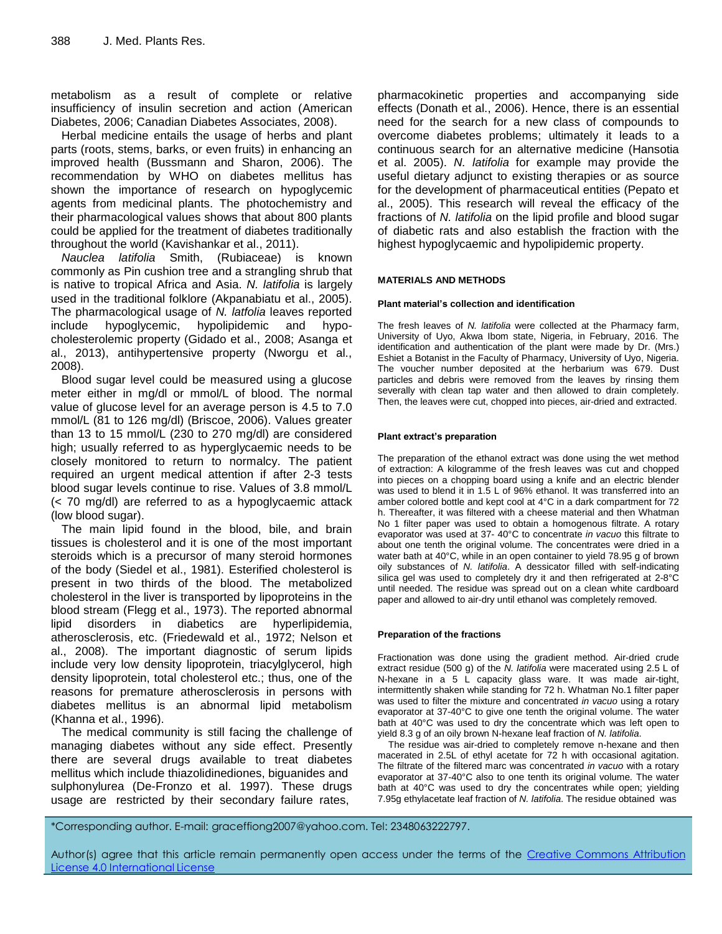metabolism as a result of complete or relative insufficiency of insulin secretion and action (American Diabetes, 2006; Canadian Diabetes Associates, 2008).

Herbal medicine entails the usage of herbs and plant parts (roots, stems, barks, or even fruits) in enhancing an improved health (Bussmann and Sharon, 2006). The recommendation by WHO on diabetes mellitus has shown the importance of research on hypoglycemic agents from medicinal plants. The photochemistry and their pharmacological values shows that about 800 plants could be applied for the treatment of diabetes traditionally throughout the world (Kavishankar et al., 2011).

*Nauclea latifolia* Smith, (Rubiaceae) is known commonly as Pin cushion tree and a strangling shrub that is native to tropical Africa and Asia. *N. latifolia* is largely used in the traditional folklore (Akpanabiatu et al., 2005). The pharmacological usage of *N. latfolia* leaves reported include hypoglycemic, hypolipidemic and hypocholesterolemic property (Gidado et al., 2008; Asanga et al., 2013), antihypertensive property (Nworgu et al., 2008).

Blood sugar level could be measured using a glucose meter either in mg/dl or mmol/L of blood. The normal value of glucose level for an average person is 4.5 to 7.0 mmol/L (81 to 126 mg/dl) (Briscoe, 2006). Values greater than 13 to 15 mmol/L (230 to 270 mg/dl) are considered high; usually referred to as hyperglycaemic needs to be closely monitored to return to normalcy. The patient required an urgent medical attention if after 2-3 tests blood sugar levels continue to rise. Values of 3.8 mmol/L (< 70 mg/dl) are referred to as a hypoglycaemic attack (low blood sugar).

The main lipid found in the blood, bile, and brain tissues is cholesterol and it is one of the most important steroids which is a precursor of many steroid hormones of the body (Siedel et al., 1981). Esterified cholesterol is present in two thirds of the blood. The metabolized cholesterol in the liver is transported by lipoproteins in the blood stream (Flegg et al., 1973). The reported abnormal lipid disorders in diabetics are hyperlipidemia, atherosclerosis, etc. (Friedewald et al., 1972; Nelson et al., 2008). The important diagnostic of serum lipids include very low density lipoprotein, triacylglycerol, high density lipoprotein, total cholesterol etc.; thus, one of the reasons for premature atherosclerosis in persons with diabetes mellitus is an abnormal lipid metabolism (Khanna et al., 1996).

The medical community is still facing the challenge of managing diabetes without any side effect. Presently there are several drugs available to treat diabetes mellitus which include thiazolidinediones, biguanides and sulphonylurea (De-Fronzo et al. 1997). These drugs usage are restricted by their secondary failure rates,

pharmacokinetic properties and accompanying side effects (Donath et al., 2006). Hence, there is an essential need for the search for a new class of compounds to overcome diabetes problems; ultimately it leads to a continuous search for an alternative medicine (Hansotia et al. 2005). *N. latifolia* for example may provide the useful dietary adjunct to existing therapies or as source for the development of pharmaceutical entities (Pepato et al., 2005). This research will reveal the efficacy of the fractions of *N. latifolia* on the lipid profile and blood sugar of diabetic rats and also establish the fraction with the highest hypoglycaemic and hypolipidemic property.

# **MATERIALS AND METHODS**

### **Plant material's collection and identification**

The fresh leaves of *N. latifolia* were collected at the Pharmacy farm, University of Uyo, Akwa Ibom state, Nigeria, in February, 2016. The identification and authentication of the plant were made by Dr. (Mrs.) Eshiet a Botanist in the Faculty of Pharmacy, University of Uyo, Nigeria. The voucher number deposited at the herbarium was 679. Dust particles and debris were removed from the leaves by rinsing them severally with clean tap water and then allowed to drain completely. Then, the leaves were cut, chopped into pieces, air-dried and extracted.

# **Plant extract's preparation**

The preparation of the ethanol extract was done using the wet method of extraction: A kilogramme of the fresh leaves was cut and chopped into pieces on a chopping board using a knife and an electric blender was used to blend it in 1.5 L of 96% ethanol. It was transferred into an amber colored bottle and kept cool at 4°C in a dark compartment for 72 h. Thereafter, it was filtered with a cheese material and then Whatman No 1 filter paper was used to obtain a homogenous filtrate. A rotary evaporator was used at 37- 40°C to concentrate *in vacuo* this filtrate to about one tenth the original volume. The concentrates were dried in a water bath at 40°C, while in an open container to yield 78.95 g of brown oily substances of *N. latifolia*. A dessicator filled with self-indicating silica gel was used to completely dry it and then refrigerated at 2-8°C until needed. The residue was spread out on a clean white cardboard paper and allowed to air-dry until ethanol was completely removed.

### **Preparation of the fractions**

Fractionation was done using the gradient method. Air-dried crude extract residue (500 g) of the *N. latifolia* were macerated using 2.5 L of N-hexane in a 5 L capacity glass ware. It was made air-tight, intermittently shaken while standing for 72 h. Whatman No.1 filter paper was used to filter the mixture and concentrated *in vacuo* using a rotary evaporator at 37-40°C to give one tenth the original volume. The water bath at 40°C was used to dry the concentrate which was left open to yield 8.3 g of an oily brown N-hexane leaf fraction of *N. latifolia*.

The residue was air-dried to completely remove n-hexane and then macerated in 2.5L of ethyl acetate for 72 h with occasional agitation. The filtrate of the filtered marc was concentrated *in vacuo* with a rotary evaporator at 37-40°C also to one tenth its original volume. The water bath at 40°C was used to dry the concentrates while open; yielding 7.95g ethylacetate leaf fraction of *N. latifolia*. The residue obtained was

\*Corresponding author. E-mail: graceffiong2007@yahoo.com. Tel: 2348063222797.

Author(s) agree that this article remain permanently open access under the terms of the Creative Commons Attribution License 4.0 [International](http://creativecommons.org/licenses/by/4.0/deed.en_US) License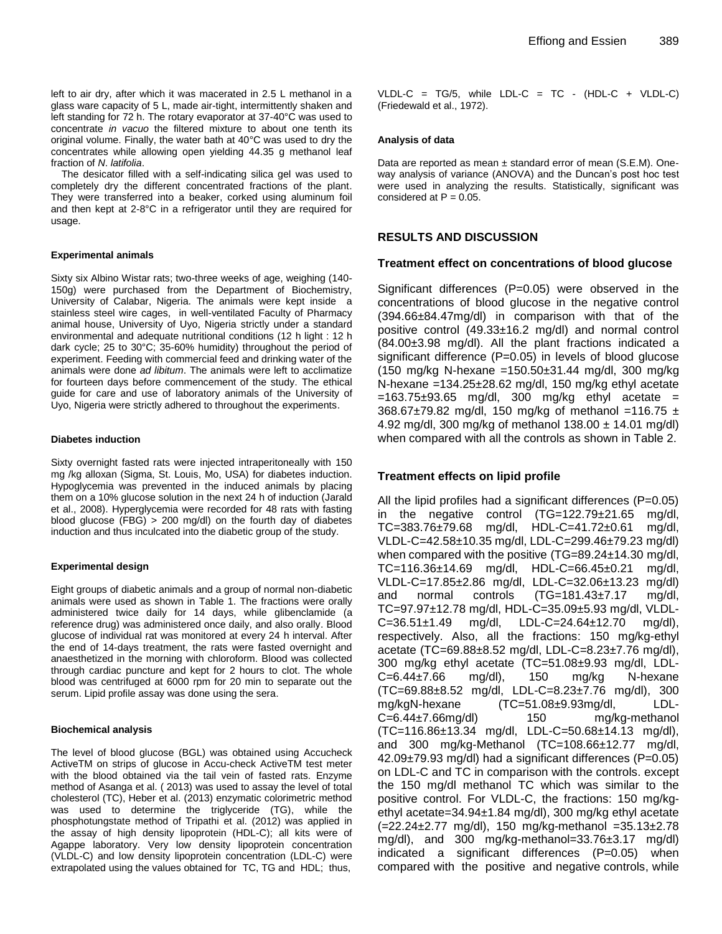left to air dry, after which it was macerated in 2.5 L methanol in a glass ware capacity of 5 L, made air-tight, intermittently shaken and left standing for 72 h. The rotary evaporator at 37-40°C was used to concentrate *in vacuo* the filtered mixture to about one tenth its original volume. Finally, the water bath at 40°C was used to dry the concentrates while allowing open yielding 44.35 g methanol leaf fraction of *N*. *latifolia*.

The desicator filled with a self-indicating silica gel was used to completely dry the different concentrated fractions of the plant. They were transferred into a beaker, corked using aluminum foil and then kept at 2-8°C in a refrigerator until they are required for usage.

#### **Experimental animals**

Sixty six Albino Wistar rats; two-three weeks of age, weighing (140- 150g) were purchased from the Department of Biochemistry, University of Calabar, Nigeria. The animals were kept inside a stainless steel wire cages, in well-ventilated Faculty of Pharmacy animal house, University of Uyo, Nigeria strictly under a standard environmental and adequate nutritional conditions (12 h light : 12 h dark cycle; 25 to 30°C; 35-60% humidity) throughout the period of experiment. Feeding with commercial feed and drinking water of the animals were done *ad libitum*. The animals were left to acclimatize for fourteen days before commencement of the study. The ethical guide for care and use of laboratory animals of the University of Uyo, Nigeria were strictly adhered to throughout the experiments.

#### **Diabetes induction**

Sixty overnight fasted rats were injected intraperitoneally with 150 mg /kg alloxan (Sigma, St. Louis, Mo, USA) for diabetes induction. Hypoglycemia was prevented in the induced animals by placing them on a 10% glucose solution in the next 24 h of induction (Jarald et al., 2008). Hyperglycemia were recorded for 48 rats with fasting blood glucose (FBG) > 200 mg/dl) on the fourth day of diabetes induction and thus inculcated into the diabetic group of the study.

#### **Experimental design**

Eight groups of diabetic animals and a group of normal non-diabetic animals were used as shown in Table 1. The fractions were orally administered twice daily for 14 days, while glibenclamide (a reference drug) was administered once daily, and also orally. Blood glucose of individual rat was monitored at every 24 h interval. After the end of 14-days treatment, the rats were fasted overnight and anaesthetized in the morning with chloroform. Blood was collected through cardiac puncture and kept for 2 hours to clot. The whole blood was centrifuged at 6000 rpm for 20 min to separate out the serum. Lipid profile assay was done using the sera.

#### **Biochemical analysis**

The level of blood glucose (BGL) was obtained using Accucheck ActiveTM on strips of glucose in Accu-check ActiveTM test meter with the blood obtained via the tail vein of fasted rats. Enzyme method of Asanga et al. ( 2013) was used to assay the level of total cholesterol (TC), Heber et al. (2013) enzymatic colorimetric method was used to determine the triglyceride (TG), while the phosphotungstate method of Tripathi et al. (2012) was applied in the assay of high density lipoprotein (HDL-C); all kits were of Agappe laboratory. Very low density lipoprotein concentration (VLDL-C) and low density lipoprotein concentration (LDL-C) were extrapolated using the values obtained for TC, TG and HDL; thus,

VLDL-C =  $TG/5$ , while LDL-C =  $TC$  - (HDL-C + VLDL-C) (Friedewald et al., 1972).

#### **Analysis of data**

Data are reported as mean  $\pm$  standard error of mean (S.E.M). Oneway analysis of variance (ANOVA) and the Duncan's post hoc test were used in analyzing the results. Statistically, significant was considered at  $P = 0.05$ .

# **RESULTS AND DISCUSSION**

#### **Treatment effect on concentrations of blood glucose**

Significant differences (P=0.05) were observed in the concentrations of blood glucose in the negative control (394.66±84.47mg/dl) in comparison with that of the positive control (49.33±16.2 mg/dl) and normal control (84.00±3.98 mg/dl). All the plant fractions indicated a significant difference (P=0.05) in levels of blood glucose (150 mg/kg N-hexane =150.50±31.44 mg/dl, 300 mg/kg N-hexane =134.25 $\pm$ 28.62 mg/dl, 150 mg/kg ethyl acetate  $=163.75\pm93.65$  mg/dl, 300 mg/kg ethyl acetate = 368.67±79.82 mg/dl, 150 mg/kg of methanol =116.75 ± 4.92 mg/dl, 300 mg/kg of methanol  $138.00 \pm 14.01$  mg/dl) when compared with all the controls as shown in Table 2.

## **Treatment effects on lipid profile**

All the lipid profiles had a significant differences (P=0.05) in the negative control (TG=122.79±21.65 mg/dl, TC=383.76±79.68 mg/dl, HDL-C=41.72±0.61 mg/dl, VLDL-C=42.58±10.35 mg/dl, LDL-C=299.46±79.23 mg/dl) when compared with the positive (TG=89.24±14.30 mg/dl, TC=116.36±14.69 mg/dl, HDL-C=66.45±0.21 mg/dl, VLDL-C=17.85±2.86 mg/dl, LDL-C=32.06±13.23 mg/dl) and normal controls (TG=181.43±7.17 mg/dl, TC=97.97±12.78 mg/dl, HDL-C=35.09±5.93 mg/dl, VLDL-C=36.51±1.49 mg/dl, LDL-C=24.64±12.70 mg/dl), respectively. Also, all the fractions: 150 mg/kg-ethyl acetate (TC=69.88±8.52 mg/dl, LDL-C=8.23±7.76 mg/dl), 300 mg/kg ethyl acetate (TC=51.08±9.93 mg/dl, LDL- $C=6.44\pm7.66$  mg/dl), 150 mg/kg N-hexane (TC=69.88±8.52 mg/dl, LDL-C=8.23±7.76 mg/dl), 300 mg/kgN-hexane (TC=51.08±9.93mg/dl, LDL-C=6.44±7.66mg/dl) 150 mg/kg-methanol (TC=116.86±13.34 mg/dl, LDL-C=50.68±14.13 mg/dl), and 300 mg/kg-Methanol (TC=108.66±12.77 mg/dl, 42.09±79.93 mg/dl) had a significant differences (P=0.05) on LDL-C and TC in comparison with the controls. except the 150 mg/dl methanol TC which was similar to the positive control. For VLDL-C, the fractions: 150 mg/kgethyl acetate=34.94±1.84 mg/dl), 300 mg/kg ethyl acetate  $(=22.24 \pm 2.77 \text{ mg/d})$ , 150 mg/kg-methanol  $=35.13 \pm 2.78$ mg/dl), and 300 mg/kg-methanol= $33.76\pm3.17$  mg/dl) indicated a significant differences (P=0.05) when compared with the positive and negative controls, while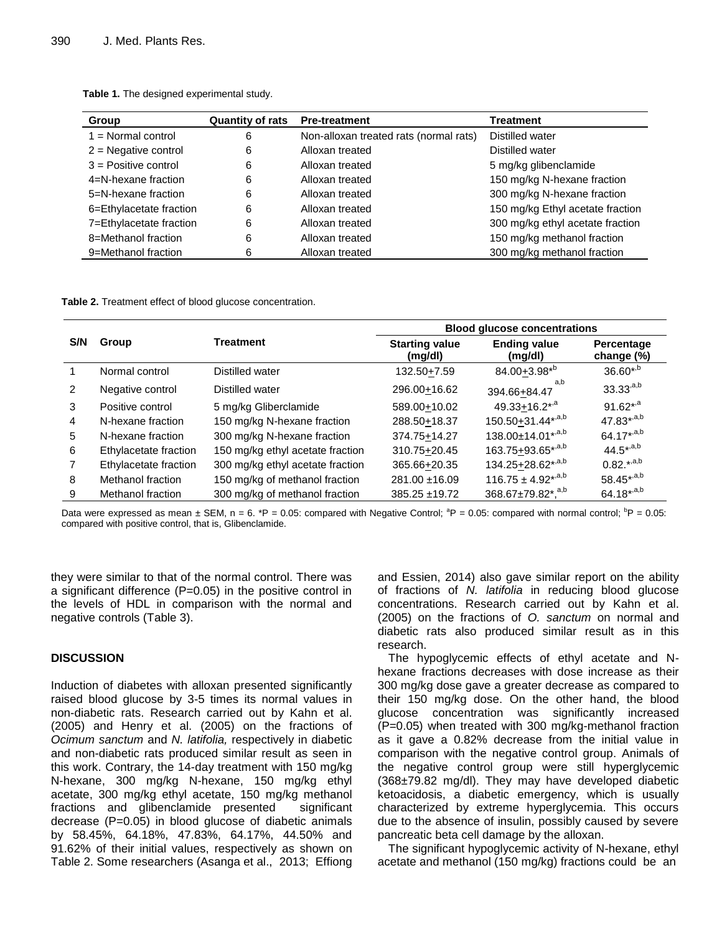| Group                   | <b>Quantity of rats</b> | <b>Pre-treatment</b>                   | Treatment                        |
|-------------------------|-------------------------|----------------------------------------|----------------------------------|
| $1 = Normal control$    | 6                       | Non-alloxan treated rats (normal rats) | Distilled water                  |
| $2$ = Negative control  | 6                       | Alloxan treated                        | Distilled water                  |
| $3$ = Positive control  | 6                       | Alloxan treated                        | 5 mg/kg glibenclamide            |
| 4=N-hexane fraction     | 6                       | Alloxan treated                        | 150 mg/kg N-hexane fraction      |
| 5=N-hexane fraction     | 6                       | Alloxan treated                        | 300 mg/kg N-hexane fraction      |
| 6=Ethylacetate fraction | 6                       | Alloxan treated                        | 150 mg/kg Ethyl acetate fraction |
| 7=Ethylacetate fraction | 6                       | Alloxan treated                        | 300 mg/kg ethyl acetate fraction |
| 8=Methanol fraction     | 6                       | Alloxan treated                        | 150 mg/kg methanol fraction      |
| 9=Methanol fraction     | 6                       | Alloxan treated                        | 300 mg/kg methanol fraction      |

**Table 1.** The designed experimental study.

**Table 2.** Treatment effect of blood glucose concentration.

|     |                       |                                  | <b>Blood glucose concentrations</b> |                                 |                          |  |
|-----|-----------------------|----------------------------------|-------------------------------------|---------------------------------|--------------------------|--|
| S/N | Group                 | Treatment                        | <b>Starting value</b><br>(mg/dl)    | <b>Ending value</b><br>(mg/dl)  | Percentage<br>change (%) |  |
|     | Normal control        | Distilled water                  | 132.50+7.59                         | $84.00 + 3.98^{*b}$             | $36.60^{*,b}$            |  |
| 2   | Negative control      | Distilled water                  | 296.00+16.62                        | a.b<br>394.66+84.47             | $33.33^{a,b}$            |  |
| 3   | Positive control      | 5 mg/kg Gliberclamide            | 589.00+10.02                        | 49.33 $\pm$ 16.2*, <sup>a</sup> | $91.62^{*,a}$            |  |
| 4   | N-hexane fraction     | 150 mg/kg N-hexane fraction      | 288.50+18.37                        | 150.50+31.44*,a,b               | $47.83^{*,a,b}$          |  |
| 5   | N-hexane fraction     | 300 mg/kg N-hexane fraction      | 374.75+14.27                        | 138.00±14.01*,a,b               | $64.17^{*,a,b}$          |  |
| 6   | Ethylacetate fraction | 150 mg/kg ethyl acetate fraction | 310.75+20.45                        | 163.75+93.65*,a,b               | $44.5^{*,a,b}$           |  |
|     | Ethylacetate fraction | 300 mg/kg ethyl acetate fraction | 365.66+20.35                        | 134.25+28.62*,a,b               | $0.82^{*,a,b}$           |  |
| 8   | Methanol fraction     | 150 mg/kg of methanol fraction   | 281.00 ±16.09                       | $116.75 \pm 4.92^{*,a,b}$       | 58.45*,a,b               |  |
| 9   | Methanol fraction     | 300 mg/kg of methanol fraction   | 385.25 ±19.72                       | 368.67±79.82*. <sup>a,b</sup>   | $64.18^{*,a,b}$          |  |

Data were expressed as mean  $\pm$  SEM, n = 6. \*P = 0.05: compared with Negative Control;  ${}^{3}P$  = 0.05: compared with normal control;  ${}^{b}P$  = 0.05: compared with positive control, that is, Glibenclamide.

they were similar to that of the normal control. There was a significant difference (P=0.05) in the positive control in the levels of HDL in comparison with the normal and negative controls (Table 3).

# **DISCUSSION**

Induction of diabetes with alloxan presented significantly raised blood glucose by 3-5 times its normal values in non-diabetic rats. Research carried out by Kahn et al. (2005) and Henry et al. (2005) on the fractions of *Ocimum sanctum* and *N. latifolia,* respectively in diabetic and non-diabetic rats produced similar result as seen in this work. Contrary, the 14-day treatment with 150 mg/kg N-hexane, 300 mg/kg N-hexane, 150 mg/kg ethyl acetate, 300 mg/kg ethyl acetate, 150 mg/kg methanol fractions and glibenclamide presented significant decrease (P=0.05) in blood glucose of diabetic animals by 58.45%, 64.18%, 47.83%, 64.17%, 44.50% and 91.62% of their initial values, respectively as shown on Table 2. Some researchers (Asanga et al., 2013; Effiong

and Essien, 2014) also gave similar report on the ability of fractions of *N. latifolia* in reducing blood glucose concentrations. Research carried out by Kahn et al. (2005) on the fractions of *O. sanctum* on normal and diabetic rats also produced similar result as in this research.

The hypoglycemic effects of ethyl acetate and Nhexane fractions decreases with dose increase as their 300 mg/kg dose gave a greater decrease as compared to their 150 mg/kg dose. On the other hand, the blood glucose concentration was significantly increased (P=0.05) when treated with 300 mg/kg-methanol fraction as it gave a 0.82% decrease from the initial value in comparison with the negative control group. Animals of the negative control group were still hyperglycemic (368±79.82 mg/dl). They may have developed diabetic ketoacidosis, a diabetic emergency, which is usually characterized by extreme hyperglycemia. This occurs due to the absence of insulin, possibly caused by severe pancreatic beta cell damage by the alloxan.

The significant hypoglycemic activity of N-hexane, ethyl acetate and methanol (150 mg/kg) fractions could be an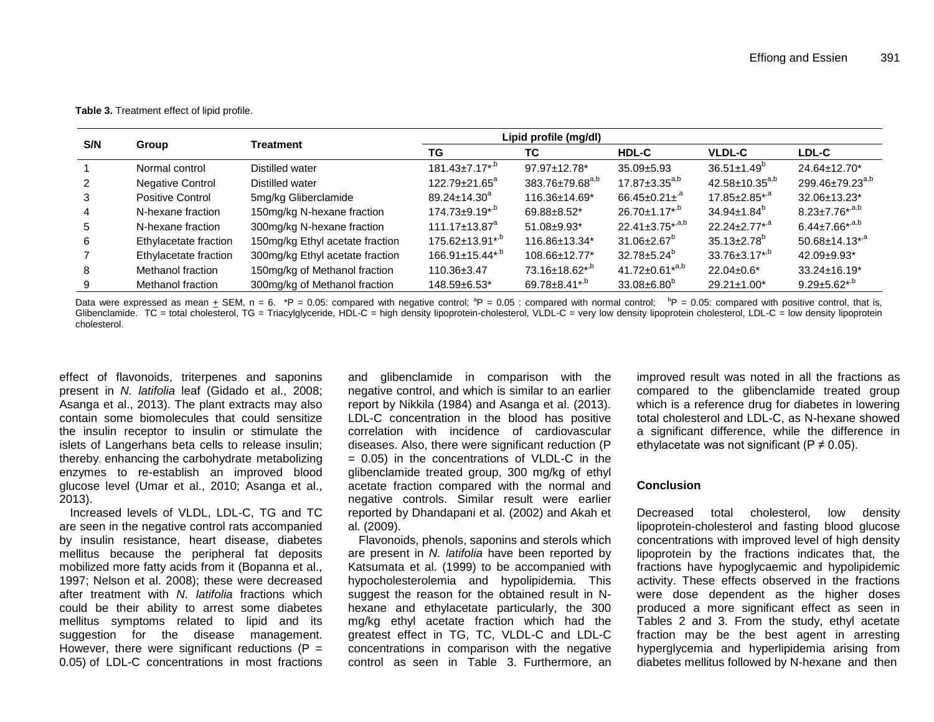**Table 3.** Treatment effect of lipid profile.

|     | Group                   | Treatment                       | Lipid profile (mg/dl)           |                             |                               |                                  |                                  |
|-----|-------------------------|---------------------------------|---------------------------------|-----------------------------|-------------------------------|----------------------------------|----------------------------------|
| S/N |                         |                                 | TG                              | ТC                          | <b>HDL-C</b>                  | <b>VLDL-C</b>                    | <b>LDL-C</b>                     |
|     | Normal control          | Distilled water                 | $181.43 \pm 7.17^{*,b}$         | 97.97±12.78*                | $35.09 \pm 5.93$              | $36.51 \pm 1.49^b$               | 24.64±12.70*                     |
|     | <b>Negative Control</b> | Distilled water                 | $122.79 \pm 21.65^a$            | 383.76±79.68 <sup>a,b</sup> | $17.87 \pm 3.35^{a,b}$        | 42.58±10.35 <sup>a,b</sup>       | 299.46±79.23 <sup>a,b</sup>      |
| 3   | Positive Control        | 5mg/kg Gliberclamide            | $89.24 \pm 14.30^a$             | 116.36±14.69*               | $66.45 \pm 0.21 \pm ^{a}$     | $17.85 \pm 2.85$ *, <sup>a</sup> | 32.06±13.23*                     |
| 4   | N-hexane fraction       | 150mg/kg N-hexane fraction      | $174.73 \pm 9.19^{*,b}$         | 69.88±8.52*                 | $26.70 \pm 1.17^{*,b}$        | $34.94 \pm 1.84^b$               | $8.23 \pm 7.76^{*,a,b}$          |
| 5   | N-hexane fraction       | 300mg/kg N-hexane fraction      | $111.17 \pm 13.87$ <sup>a</sup> | 51.08±9.93*                 | $22.41 \pm 3.75^{*,a,b}$      | $22.24 \pm 2.77$ <sup>*,a</sup>  | $6.44 \pm 7.66^{*,a,b}$          |
| 6   | Ethylacetate fraction   | 150mg/kg Ethyl acetate fraction | $175.62 \pm 13.91^{*,b}$        | 116.86±13.34*               | $31.06 \pm 2.67$ <sup>b</sup> | $35.13 \pm 2.78$ <sup>b</sup>    | $50.68 \pm 14.13$ <sup>*,a</sup> |
|     | Ethylacetate fraction   | 300mg/kg Ethyl acetate fraction | $166.91 \pm 15.44^{*b}$         | 108.66±12.77*               | $32.78 \pm 5.24^{\circ}$      | $33.76 \pm 3.17^{*,b}$           | 42.09±9.93*                      |
| 8   | Methanol fraction       | 150mg/kg of Methanol fraction   | 110.36±3.47                     | 73.16±18.62*,b              | $41.72 \pm 0.61^{*a,b}$       | $22.04 \pm 0.6^*$                | $33.24 \pm 16.19^*$              |
| 9   | Methanol fraction       | 300mg/kg of Methanol fraction   | 148.59±6.53*                    | 69.78±8.41*,b               | $33.08 \pm 6.80^{\circ}$      | 29.21±1.00*                      | $9.29 \pm 5.62^{*,b}$            |

Data were expressed as mean + SEM, n = 6. \*P = 0.05: compared with negative control;  ${}^{8}P = 0.05$ : compared with normal control;  ${}^{8}P = 0.05$ : compared with positive control, that is, Glibenclamide. TC = total cholesterol, TG = Triacylglyceride, HDL-C = high density lipoprotein-cholesterol, VLDL-C = very low density lipoprotein cholesterol, LDL-C = low density lipoprotein cholesterol.

effect of flavonoids, triterpenes and saponins present in *N. latifolia* leaf (Gidado et al., 2008; Asanga et al., 2013). The plant extracts may also contain some biomolecules that could sensitize the insulin receptor to insulin or stimulate the islets of Langerhans beta cells to release insulin; thereby, enhancing the carbohydrate metabolizing enzymes to re-establish an improved blood glucose level (Umar et al., 2010; Asanga et al., 2013).

Increased levels of VLDL, LDL-C, TG and TC are seen in the negative control rats accompanied by insulin resistance, heart disease, diabetes mellitus because the peripheral fat deposits mobilized more fatty acids from it (Bopanna et al., 1997; Nelson et al. 2008); these were decreased after treatment with *N. latifolia* fractions which could be their ability to arrest some diabetes mellitus symptoms related to lipid and its suggestion for the disease management. However, there were significant reductions ( $P =$ 0.05) of LDL-C concentrations in most fractions and glibenclamide in comparison with the negative control, and which is similar to an earlier report by Nikkila (1984) and Asanga et al. (2013). LDL-C concentration in the blood has positive correlation with incidence of cardiovascular diseases. Also, there were significant reduction (P  $= 0.05$ ) in the concentrations of VLDL-C in the glibenclamide treated group, 300 mg/kg of ethyl acetate fraction compared with the normal and negative controls. Similar result were earlier reported by Dhandapani et al. (2002) and Akah et al. (2009).

Flavonoids, phenols, saponins and sterols which are present in *N. latifolia* have been reported by Katsumata et al. (1999) to be accompanied with hypocholesterolemia and hypolipidemia. This suggest the reason for the obtained result in Nhexane and ethylacetate particularly, the 300 mg/kg ethyl acetate fraction which had the greatest effect in TG, TC, VLDL-C and LDL-C concentrations in comparison with the negative control as seen in Table 3. Furthermore, an

improved result was noted in all the fractions as compared to the glibenclamide treated group which is a reference drug for diabetes in lowering total cholesterol and LDL-C, as N-hexane showed a significant difference, while the difference in ethylacetate was not significant ( $P \neq 0.05$ ).

## **Conclusion**

Decreased total cholesterol, low density lipoprotein-cholesterol and fasting blood glucose concentrations with improved level of high density lipoprotein by the fractions indicates that, the fractions have hypoglycaemic and hypolipidemic activity. These effects observed in the fractions were dose dependent as the higher doses produced a more significant effect as seen in Tables 2 and 3. From the study, ethyl acetate fraction may be the best agent in arresting hyperglycemia and hyperlipidemia arising from diabetes mellitus followed by N-hexane and then